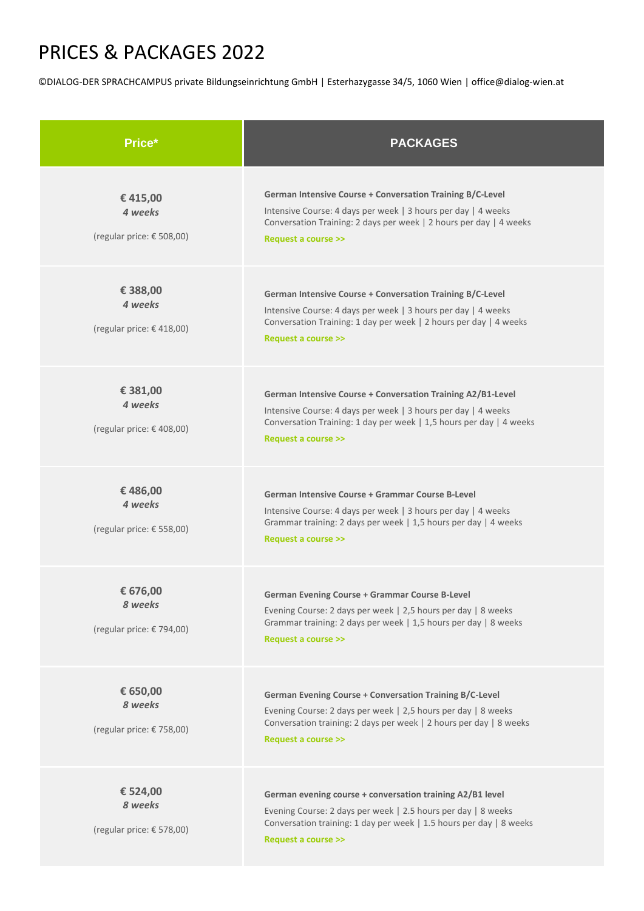©DIALOG-DER SPRACHCAMPUS private Bildungseinrichtung GmbH | Esterhazygasse 34/5, 1060 Wien | office@dialog-wien.at

| Price*                                                    | <b>PACKAGES</b>                                                                                                                                                                                                                   |
|-----------------------------------------------------------|-----------------------------------------------------------------------------------------------------------------------------------------------------------------------------------------------------------------------------------|
| €415,00<br>4 weeks<br>(regular price: $\epsilon$ 508,00)  | <b>German Intensive Course + Conversation Training B/C-Level</b><br>Intensive Course: 4 days per week   3 hours per day   4 weeks<br>Conversation Training: 2 days per week   2 hours per day   4 weeks<br>Request a course >>    |
| € 388,00<br>4 weeks<br>(regular price: $\epsilon$ 418,00) | <b>German Intensive Course + Conversation Training B/C-Level</b><br>Intensive Course: 4 days per week   3 hours per day   4 weeks<br>Conversation Training: 1 day per week   2 hours per day   4 weeks<br>Request a course >>     |
| € 381,00<br>4 weeks<br>(regular price: $\epsilon$ 408,00) | <b>German Intensive Course + Conversation Training A2/B1-Level</b><br>Intensive Course: 4 days per week   3 hours per day   4 weeks<br>Conversation Training: 1 day per week   1,5 hours per day   4 weeks<br>Request a course >> |
| €486,00<br>4 weeks<br>(regular price: € 558,00)           | German Intensive Course + Grammar Course B-Level<br>Intensive Course: 4 days per week   3 hours per day   4 weeks<br>Grammar training: 2 days per week   1,5 hours per day   4 weeks<br>Request a course >>                       |
| € 676,00<br>8 weeks<br>(regular price: € 794,00)          | <b>German Evening Course + Grammar Course B-Level</b><br>Evening Course: 2 days per week   2,5 hours per day   8 weeks<br>Grammar training: 2 days per week   1,5 hours per day   8 weeks<br>Request a course >>                  |
| € 650,00<br>8 weeks<br>(regular price: € 758,00)          | <b>German Evening Course + Conversation Training B/C-Level</b><br>Evening Course: 2 days per week   2,5 hours per day   8 weeks<br>Conversation training: 2 days per week   2 hours per day   8 weeks<br>Request a course >>      |
| € 524,00<br>8 weeks<br>(regular price: $\epsilon$ 578,00) | German evening course + conversation training A2/B1 level<br>Evening Course: 2 days per week   2.5 hours per day   8 weeks<br>Conversation training: 1 day per week   1.5 hours per day   8 weeks<br>Request a course >>          |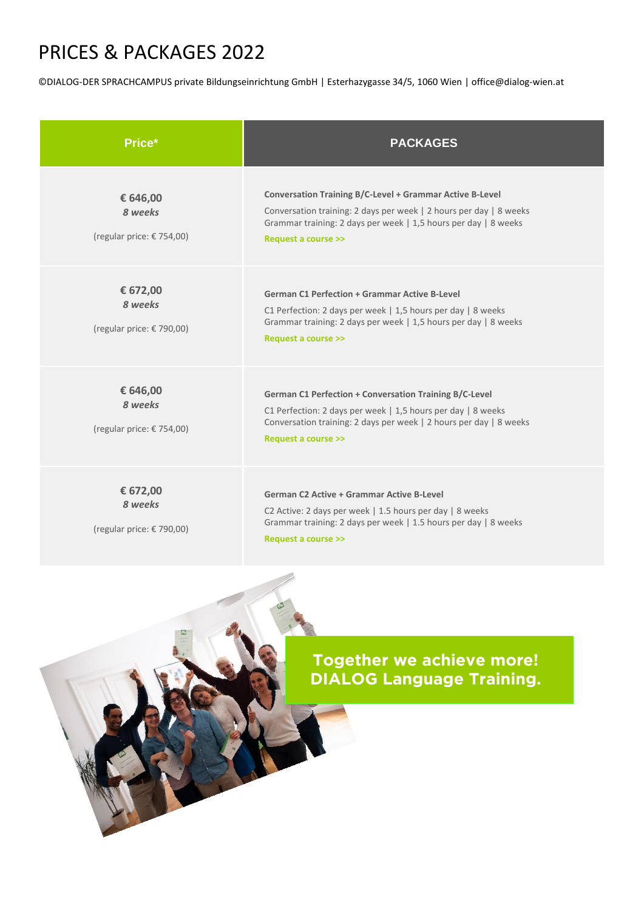©DIALOG-DER SPRACHCAMPUS private Bildungseinrichtung GmbH | Esterhazygasse 34/5, 1060 Wien | office@dialog-wien.at

| Price*                                                    | <b>PACKAGES</b>                                                                                                                                                                                                            |
|-----------------------------------------------------------|----------------------------------------------------------------------------------------------------------------------------------------------------------------------------------------------------------------------------|
| € 646,00<br>8 weeks<br>(regular price: € 754,00)          | Conversation Training B/C-Level + Grammar Active B-Level<br>Conversation training: 2 days per week   2 hours per day   8 weeks<br>Grammar training: 2 days per week   1,5 hours per day   8 weeks<br>Request a course >>   |
| € 672,00<br>8 weeks<br>(regular price: € 790,00)          | <b>German C1 Perfection + Grammar Active B-Level</b><br>C1 Perfection: 2 days per week   1,5 hours per day   8 weeks<br>Grammar training: 2 days per week   1,5 hours per day   8 weeks<br>Request a course >>             |
| € 646,00<br>8 weeks<br>(regular price: $\epsilon$ 754,00) | <b>German C1 Perfection + Conversation Training B/C-Level</b><br>C1 Perfection: 2 days per week   1,5 hours per day   8 weeks<br>Conversation training: 2 days per week   2 hours per day   8 weeks<br>Request a course >> |
| € 672,00<br>8 weeks<br>(regular price: € 790,00)          | German C2 Active + Grammar Active B-Level<br>C2 Active: 2 days per week   1.5 hours per day   8 weeks<br>Grammar training: 2 days per week   1.5 hours per day   8 weeks<br>Request a course >>                            |

#### **Together we achieve more! DIALOG Language Training.**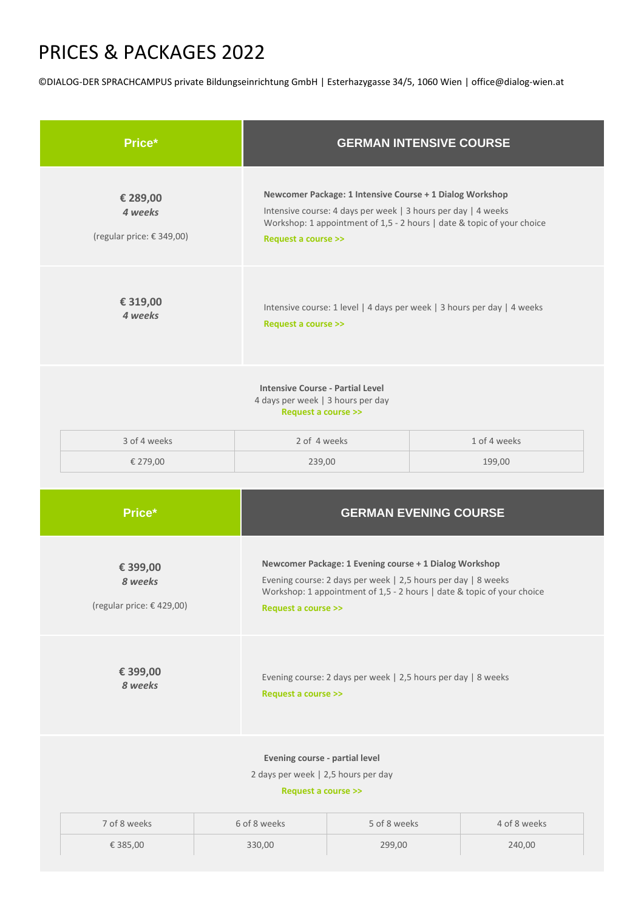©DIALOG-DER SPRACHCAMPUS private Bildungseinrichtung GmbH | Esterhazygasse 34/5, 1060 Wien | office@dialog-wien.at

| Price*                                           |                                                                                                                                                                                                                            | <b>GERMAN INTENSIVE COURSE</b> |              |
|--------------------------------------------------|----------------------------------------------------------------------------------------------------------------------------------------------------------------------------------------------------------------------------|--------------------------------|--------------|
| € 289,00<br>4 weeks<br>(regular price: € 349,00) | Newcomer Package: 1 Intensive Course + 1 Dialog Workshop<br>Intensive course: 4 days per week   3 hours per day   4 weeks<br>Workshop: 1 appointment of 1,5 - 2 hours   date & topic of your choice<br>Request a course >> |                                |              |
| € 319,00<br>4 weeks                              | Intensive course: 1 level   4 days per week   3 hours per day   4 weeks<br>Request a course >>                                                                                                                             |                                |              |
|                                                  | <b>Intensive Course - Partial Level</b><br>4 days per week   3 hours per day<br>Request a course >>                                                                                                                        |                                |              |
| 3 of 4 weeks                                     | 2 of 4 weeks                                                                                                                                                                                                               |                                | 1 of 4 weeks |
| € 279,00                                         | 239,00                                                                                                                                                                                                                     |                                | 199,00       |
|                                                  | <b>GERMAN EVENING COURSE</b>                                                                                                                                                                                               |                                |              |
| Price*                                           |                                                                                                                                                                                                                            |                                |              |
| € 399,00<br>8 weeks<br>(regular price: €429,00)  | Newcomer Package: 1 Evening course + 1 Dialog Workshop<br>Evening course: 2 days per week   2,5 hours per day   8 weeks<br>Workshop: 1 appointment of 1,5 - 2 hours   date & topic of your choice<br>Request a course >>   |                                |              |
| € 399,00<br>8 weeks                              | Evening course: 2 days per week   2,5 hours per day   8 weeks<br>Request a course >>                                                                                                                                       |                                |              |
|                                                  | Evening course - partial level<br>2 days per week   2,5 hours per day<br>Request a course >>                                                                                                                               |                                |              |
| 7 of 8 weeks                                     | 6 of 8 weeks                                                                                                                                                                                                               | 5 of 8 weeks                   | 4 of 8 weeks |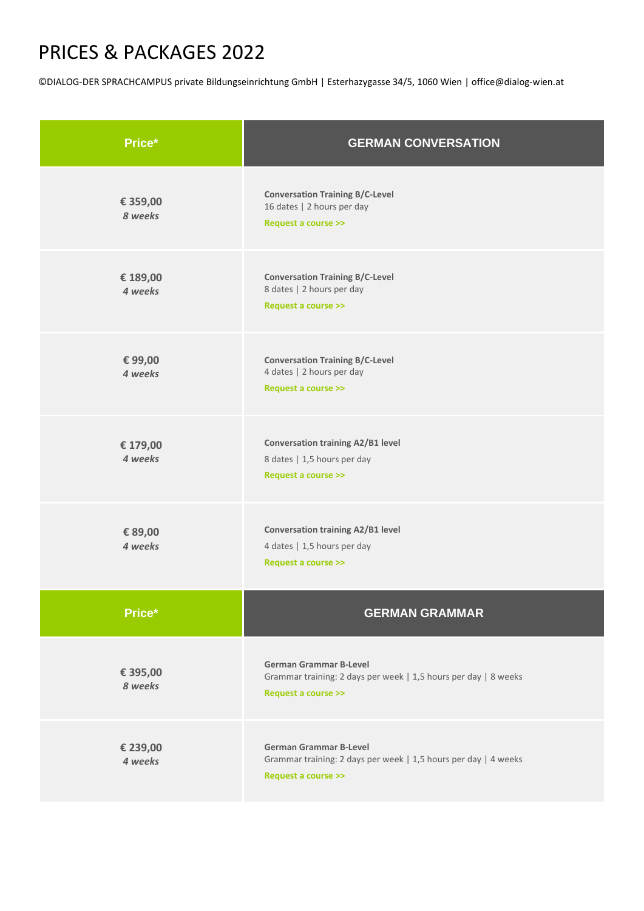©DIALOG-DER SPRACHCAMPUS private Bildungseinrichtung GmbH | Esterhazygasse 34/5, 1060 Wien | office@dialog-wien.at

| Price*              | <b>GERMAN CONVERSATION</b>                                                                                              |
|---------------------|-------------------------------------------------------------------------------------------------------------------------|
| € 359,00<br>8 weeks | <b>Conversation Training B/C-Level</b><br>16 dates   2 hours per day<br>Request a course >>                             |
| € 189,00<br>4 weeks | <b>Conversation Training B/C-Level</b><br>8 dates   2 hours per day<br>Request a course >>                              |
| €99,00<br>4 weeks   | <b>Conversation Training B/C-Level</b><br>4 dates   2 hours per day<br>Request a course >>                              |
| € 179,00<br>4 weeks | <b>Conversation training A2/B1 level</b><br>8 dates   1,5 hours per day<br>Request a course >>                          |
| € 89,00<br>4 weeks  | <b>Conversation training A2/B1 level</b><br>4 dates   1,5 hours per day<br>Request a course >>                          |
| Price*              | <b>GERMAN GRAMMAR</b>                                                                                                   |
| € 395,00<br>8 weeks | <b>German Grammar B-Level</b><br>Grammar training: 2 days per week   1,5 hours per day   8 weeks<br>Request a course >> |
| € 239,00<br>4 weeks | <b>German Grammar B-Level</b><br>Grammar training: 2 days per week   1,5 hours per day   4 weeks<br>Request a course >> |